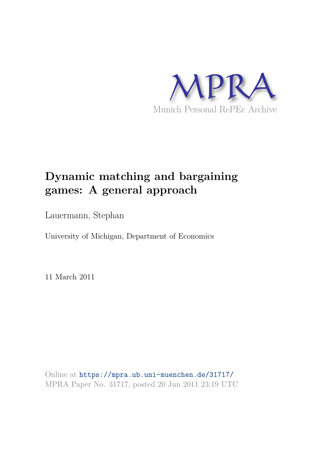

## **Dynamic matching and bargaining games: A general approach**

Lauermann, Stephan

University of Michigan, Department of Economics

11 March 2011

Online at https://mpra.ub.uni-muenchen.de/31717/ MPRA Paper No. 31717, posted 20 Jun 2011 23:19 UTC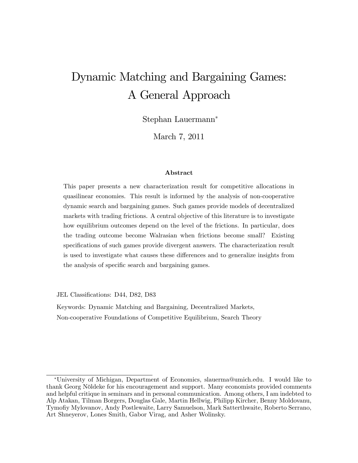# Dynamic Matching and Bargaining Games: A General Approach

Stephan Lauermann

March 7, 2011

#### Abstract

This paper presents a new characterization result for competitive allocations in quasilinear economies. This result is informed by the analysis of non-cooperative dynamic search and bargaining games. Such games provide models of decentralized markets with trading frictions. A central objective of this literature is to investigate how equilibrium outcomes depend on the level of the frictions. In particular, does the trading outcome become Walrasian when frictions become small? Existing specifications of such games provide divergent answers. The characterization result is used to investigate what causes these differences and to generalize insights from the analysis of specific search and bargaining games.

JEL Classifications: D44, D82, D83

Keywords: Dynamic Matching and Bargaining, Decentralized Markets, Non-cooperative Foundations of Competitive Equilibrium, Search Theory

University of Michigan, Department of Economics, slauerma@umich.edu. I would like to thank Georg Nöldeke for his encouragement and support. Many economists provided comments and helpful critique in seminars and in personal communication. Among others, I am indebted to Alp Atakan, Tilman Borgers, Douglas Gale, Martin Hellwig, Philipp Kircher, Benny Moldovanu, Tymofiy Mylovanov, Andy Postlewaite, Larry Samuelson, Mark Satterthwaite, Roberto Serrano, Art Shneyerov, Lones Smith, Gabor Virag, and Asher Wolinsky.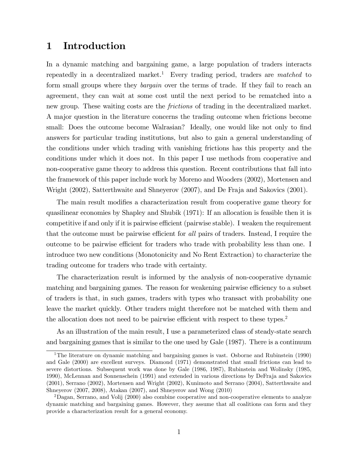## 1 Introduction

In a dynamic matching and bargaining game, a large population of traders interacts repeatedly in a decentralized market.<sup>1</sup> Every trading period, traders are matched to form small groups where they *bargain* over the terms of trade. If they fail to reach an agreement, they can wait at some cost until the next period to be rematched into a new group. These waiting costs are the *frictions* of trading in the decentralized market. A major question in the literature concerns the trading outcome when frictions become small: Does the outcome become Walrasian? Ideally, one would like not only to find answers for particular trading institutions, but also to gain a general understanding of the conditions under which trading with vanishing frictions has this property and the conditions under which it does not. In this paper I use methods from cooperative and non-cooperative game theory to address this question. Recent contributions that fall into the framework of this paper include work by Moreno and Wooders (2002), Mortensen and Wright (2002), Satterthwaite and Shneyerov (2007), and De Fraja and Sakovics (2001).

The main result modifies a characterization result from cooperative game theory for quasilinear economies by Shapley and Shubik (1971): If an allocation is feasible then it is competitive if and only if it is pairwise efficient (pairwise stable). I weaken the requirement that the outcome must be pairwise efficient for all pairs of traders. Instead, I require the outcome to be pairwise efficient for traders who trade with probability less than one. I introduce two new conditions (Monotonicity and No Rent Extraction) to characterize the trading outcome for traders who trade with certainty.

The characterization result is informed by the analysis of non-cooperative dynamic matching and bargaining games. The reason for weakening pairwise efficiency to a subset of traders is that, in such games, traders with types who transact with probability one leave the market quickly. Other traders might therefore not be matched with them and the allocation does not need to be pairwise efficient with respect to these types.<sup>2</sup>

As an illustration of the main result, I use a parameterized class of steady-state search and bargaining games that is similar to the one used by Gale (1987). There is a continuum

<sup>&</sup>lt;sup>1</sup>The literature on dynamic matching and bargaining games is vast. Osborne and Rubinstein (1990) and Gale (2000) are excellent surveys. Diamond (1971) demonstrated that small frictions can lead to severe distortions. Subsequent work was done by Gale (1986, 1987), Rubinstein and Wolinsky (1985, 1990), McLennan and Sonnenschein (1991) and extended in various directions by DeFraja and Sakovics (2001), Serrano (2002), Mortensen and Wright (2002), Kunimoto and Serrano (2004), Satterthwaite and Shneyerov (2007, 2008), Atakan (2007), and Shneyerov and Wong (2010)

<sup>2</sup>Dagan, Serrano, and Volij (2000) also combine cooperative and non-cooperative elements to analyze dynamic matching and bargaining games. However, they assume that all coalitions can form and they provide a characterization result for a general economy.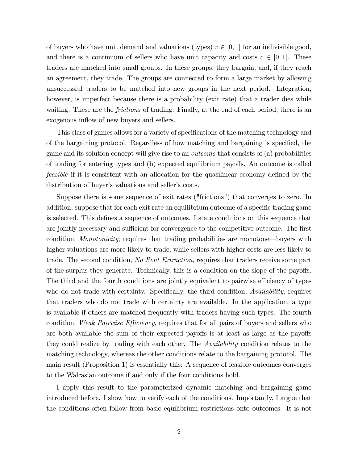of buyers who have unit demand and valuations (types)  $v \in [0, 1]$  for an indivisible good, and there is a continuum of sellers who have unit capacity and costs  $c \in [0, 1]$ . These traders are matched into small groups. In these groups, they bargain, and, if they reach an agreement, they trade. The groups are connected to form a large market by allowing unsuccessful traders to be matched into new groups in the next period. Integration, however, is imperfect because there is a probability (exit rate) that a trader dies while waiting. These are the *frictions* of trading. Finally, at the end of each period, there is an exogenous inflow of new buyers and sellers.

This class of games allows for a variety of specifications of the matching technology and of the bargaining protocol. Regardless of how matching and bargaining is specified, the game and its solution concept will give rise to an outcome that consists of (a) probabilities of trading for entering types and (b) expected equilibrium payoffs. An outcome is called feasible if it is consistent with an allocation for the quasilinear economy defined by the distribution of buyer's valuations and seller's costs.

Suppose there is some sequence of exit rates ("frictions") that converges to zero. In addition, suppose that for each exit rate an equilibrium outcome of a specific trading game is selected. This defines a sequence of outcomes. I state conditions on this sequence that are jointly necessary and sufficient for convergence to the competitive outcome. The first condition, *Monotonicity*, requires that trading probabilities are monotone—buyers with higher valuations are more likely to trade, while sellers with higher costs are less likely to trade. The second condition, No Rent Extraction, requires that traders receive some part of the surplus they generate. Technically, this is a condition on the slope of the payoffs. The third and the fourth conditions are jointly equivalent to pairwise efficiency of types who do not trade with certainty. Specifically, the third condition, Availability, requires that traders who do not trade with certainty are available. In the application, a type is available if others are matched frequently with traders having such types. The fourth condition, *Weak Pairwise Efficiency*, requires that for all pairs of buyers and sellers who are both available the sum of their expected payoffs is at least as large as the payoffs they could realize by trading with each other. The Availability condition relates to the matching technology, whereas the other conditions relate to the bargaining protocol. The main result (Proposition 1) is essentially this: A sequence of feasible outcomes converges to the Walrasian outcome if and only if the four conditions hold.

I apply this result to the parameterized dynamic matching and bargaining game introduced before. I show how to verify each of the conditions. Importantly, I argue that the conditions often follow from basic equilibrium restrictions onto outcomes. It is not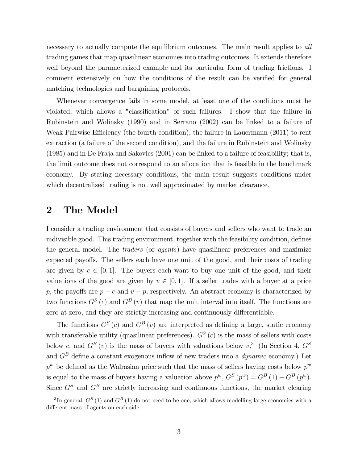necessary to actually compute the equilibrium outcomes. The main result applies to all trading games that map quasilinear economies into trading outcomes. It extends therefore well beyond the parameterized example and its particular form of trading frictions. I comment extensively on how the conditions of the result can be verified for general matching technologies and bargaining protocols.

Whenever convergence fails in some model, at least one of the conditions must be violated, which allows a "classification" of such failures. I show that the failure in Rubinstein and Wolinsky (1990) and in Serrano (2002) can be linked to a failure of Weak Pairwise Efficiency (the fourth condition), the failure in Lauermann (2011) to rent extraction (a failure of the second condition), and the failure in Rubinstein and Wolinsky (1985) and in De Fraja and Sakovics (2001) can be linked to a failure of feasibility; that is, the limit outcome does not correspond to an allocation that is feasible in the benchmark economy. By stating necessary conditions, the main result suggests conditions under which decentralized trading is not well approximated by market clearance.

### 2 The Model

I consider a trading environment that consists of buyers and sellers who want to trade an indivisible good. This trading environment, together with the feasibility condition, defines the general model. The *traders* (or *agents*) have quasilinear preferences and maximize expected payoffs. The sellers each have one unit of the good, and their costs of trading are given by  $c \in [0, 1]$ . The buyers each want to buy one unit of the good, and their valuations of the good are given by  $v \in [0, 1]$ . If a seller trades with a buyer at a price p, the payoffs are  $p - c$  and  $v - p$ , respectively. An abstract economy is characterized by two functions  $G^{S}(c)$  and  $G^{B}(v)$  that map the unit interval into itself. The functions are zero at zero, and they are strictly increasing and continuously differentiable.

The functions  $G^{S}(c)$  and  $G^{B}(v)$  are interpreted as defining a large, static economy with transferable utility (quasilinear preferences).  $G<sup>S</sup>(c)$  is the mass of sellers with costs below c, and  $G^B(v)$  is the mass of buyers with valuations below  $v^3$ . (In Section 4,  $G^S$ and  $G^B$  define a constant exogenous inflow of new traders into a *dynamic* economy.) Let  $p^w$  be defined as the Walrasian price such that the mass of sellers having costs below  $p^w$ is equal to the mass of buyers having a valuation above  $p^w$ ,  $G^S(p^w) = G^B(1) - G^B(p^w)$ . Since  $G<sup>S</sup>$  and  $G<sup>B</sup>$  are strictly increasing and continuous functions, the market clearing

<sup>&</sup>lt;sup>3</sup>In general,  $G^{S}(1)$  and  $G^{B}(1)$  do not need to be one, which allows modelling large economies with a different mass of agents on each side.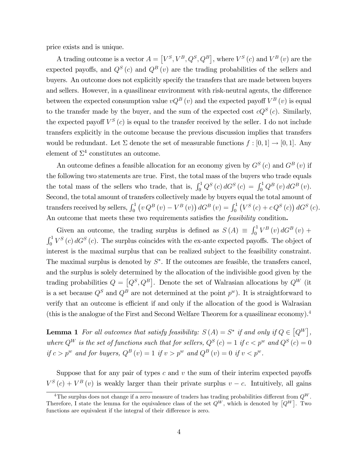price exists and is unique.

A trading outcome is a vector  $A = [V^S, V^B, Q^S, Q^B]$ , where  $V^S(c)$  and  $V^B(v)$  are the expected payoffs, and  $Q^{S}(c)$  and  $Q^{B}(v)$  are the trading probabilities of the sellers and buyers. An outcome does not explicitly specify the transfers that are made between buyers and sellers. However, in a quasilinear environment with risk-neutral agents, the difference between the expected consumption value  $vQ^B(v)$  and the expected payoff  $V^B(v)$  is equal to the transfer made by the buyer, and the sum of the expected cost  $cQ^{S}(c)$ . Similarly, the expected payoff  $V^S(c)$  is equal to the transfer received by the seller. I do not include transfers explicitly in the outcome because the previous discussion implies that transfers would be redundant. Let  $\Sigma$  denote the set of measurable functions  $f : [0,1] \to [0,1]$ . Any element of  $\Sigma^4$  constitutes an outcome.

An outcome defines a feasible allocation for an economy given by  $G<sup>S</sup>(c)$  and  $G<sup>B</sup>(v)$  if the following two statements are true. First, the total mass of the buyers who trade equals the total mass of the sellers who trade, that is,  $\int_0^1 Q^S(c) dG^S(c) = \int_0^1 Q^B(v) dG^B(v)$ . Second, the total amount of transfers collectively made by buyers equal the total amount of transfers received by sellers,  $\int_0^1 (v Q^B(v) - V^B(v)) dG^B(v) = \int_0^1 (V^S(v) + c Q^S(v)) dG^S(v)$ . An outcome that meets these two requirements satisfies the *feasibility* condition.

Given an outcome, the trading surplus is defined as  $S(A) \equiv \int_0^1 V^B(v) dG^B(v)$  +  $\int_0^1 V^S(\mathfrak{c}) dG^S(\mathfrak{c})$ . The surplus coincides with the ex-ante expected payoffs. The object of interest is the maximal surplus that can be realized subject to the feasibility constraint. The maximal surplus is denoted by  $S^*$ . If the outcomes are feasible, the transfers cancel, and the surplus is solely determined by the allocation of the indivisible good given by the trading probabilities  $Q = [Q^S, Q^B]$ . Denote the set of Walrasian allocations by  $Q^W$  (it is a set because  $Q^S$  and  $Q^B$  are not determined at the point  $p^w$ ). It is straightforward to verify that an outcome is efficient if and only if the allocation of the good is Walrasian (this is the analogue of the First and Second Welfare Theorem for a quasilinear economy).<sup>4</sup>

**Lemma 1** For all outcomes that satisfy feasibility:  $S(A) = S^*$  if and only if  $Q \in [Q^W]$ , where  $Q^W$  is the set of functions such that for sellers,  $Q^S(c) = 1$  if  $c < p^w$  and  $Q^S(c) = 0$ if  $c > p^w$  and for buyers,  $Q^B(v) = 1$  if  $v > p^w$  and  $Q^B(v) = 0$  if  $v < p^w$ .

Suppose that for any pair of types  $c$  and  $v$  the sum of their interim expected payoffs  $V^{S}(c) + V^{B}(v)$  is weakly larger than their private surplus  $v - c$ . Intuitively, all gains

<sup>&</sup>lt;sup>4</sup>The surplus does not change if a zero measure of traders has trading probabilities different from  $Q^W$ . Therefore, I state the lemma for the equivalence class of the set  $Q^W$ , which is denoted by  $[Q^W]$ . Two functions are equivalent if the integral of their difference is zero.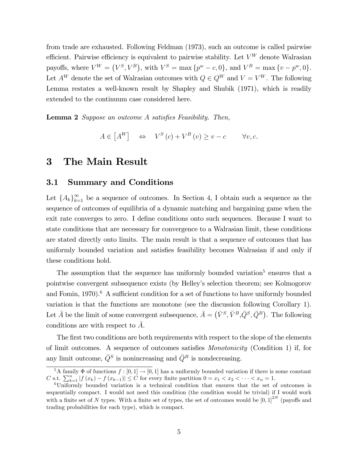from trade are exhausted. Following Feldman (1973), such an outcome is called pairwise efficient. Pairwise efficiency is equivalent to pairwise stability. Let  $V^W$  denote Walrasian payoffs, where  $V^W = (V^S, V^B)$ , with  $V^S = \max\{p^w - c, 0\}$ , and  $V^B = \max\{v - p^w, 0\}$ . Let  $A^W$  denote the set of Walrasian outcomes with  $Q \in Q^W$  and  $V = V^W$ . The following Lemma restates a well-known result by Shapley and Shubik (1971), which is readily extended to the continuum case considered here.

**Lemma 2** Suppose an outcome A satisfies Feasibility. Then,

$$
A \in [A^W] \quad \Leftrightarrow \quad V^S(c) + V^B(v) \ge v - c \qquad \forall v, c.
$$

## 3 The Main Result

#### 3.1 Summary and Conditions

Let  ${A_k}_{k=1}^{\infty}$  be a sequence of outcomes. In Section 4, I obtain such a sequence as the sequence of outcomes of equilibria of a dynamic matching and bargaining game when the exit rate converges to zero. I define conditions onto such sequences. Because I want to state conditions that are necessary for convergence to a Walrasian limit, these conditions are stated directly onto limits. The main result is that a sequence of outcomes that has uniformly bounded variation and satisfies feasibility becomes Walrasian if and only if these conditions hold.

The assumption that the sequence has uniformly bounded variation<sup>5</sup> ensures that a pointwise convergent subsequence exists (by Helleyís selection theorem; see Kolmogorov and Fomin, 1970).<sup>6</sup> A sufficient condition for a set of functions to have uniformly bounded variation is that the functions are monotone (see the discussion following Corollary 1). Let  $\bar{A}$  be the limit of some convergent subsequence,  $\bar{A} = (\bar{V}^S, \bar{V}^B, \bar{Q}^S, \bar{Q}^B)$ . The following conditions are with respect to  $\overline{A}$ .

The first two conditions are both requirements with respect to the slope of the elements of limit outcomes. A sequence of outcomes satisfies Monotonicity (Condition 1) if, for any limit outcome,  $\overline{Q}^S$  is nonincreasing and  $\overline{Q}^B$  is nondecreasing.

 $\frac{5}{6}$  A family  $\Phi$  of functions  $f : [0, 1] \to [0, 1]$  has a uniformly bounded variation if there is some constant C s.t.  $\sum_{k=1}^{n} |f(x_k) - f(x_{k-1})| \leq C$  for every finite partition  $0 = x_1 < x_2 < \cdots < x_n = 1$ .

<sup>6</sup>Uniformly bounded variation is a technical condition that ensures that the set of outcomes is sequentially compact. I would not need this condition (the condition would be trivial) if I would work with a finite set of N types. With a finite set of types, the set of outcomes would be  $[0,1]^{2N}$  (payoffs and trading probabilities for each type), which is compact.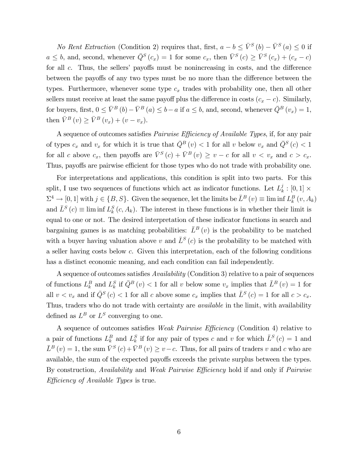No Rent Extraction (Condition 2) requires that, first,  $a - b \leq \overline{V}^S(b) - \overline{V}^S(a) \leq 0$  if  $a \leq b$ , and, second, whenever  $\overline{Q}^S(c_x) = 1$  for some  $c_x$ , then  $\overline{V}^S(c) \geq \overline{V}^S(c_x) + (c_x - c)$ for all  $c$ . Thus, the sellers' payoffs must be nonincreasing in costs, and the difference between the payoffs of any two types must be no more than the difference between the types. Furthermore, whenever some type  $c_x$  trades with probability one, then all other sellers must receive at least the same payoff plus the difference in costs  $(c_x - c)$ . Similarly, for buyers, first,  $0 \leq \bar{V}^B(b) - \bar{V}^B(a) \leq b - a$  if  $a \leq b$ , and, second, whenever  $\bar{Q}^B(v_x) = 1$ , then  $\bar{V}^B(v) \geq \bar{V}^B(v_x) + (v - v_x)$ .

A sequence of outcomes satisfies *Pairwise Efficiency of Available Types*, if, for any pair of types  $c_x$  and  $v_x$  for which it is true that  $\overline{Q}^B(v) < 1$  for all v below  $v_x$  and  $\overline{Q}^S(v) < 1$ for all c above  $c_x$ , then payoffs are  $\overline{V}^S(c) + \overline{V}^B(v) \ge v - c$  for all  $v < v_x$  and  $c > c_x$ . Thus, payoffs are pairwise efficient for those types who do not trade with probability one.

For interpretations and applications, this condition is split into two parts. For this split, I use two sequences of functions which act as indicator functions. Let  $L_k^j$  $\frac{\jmath_k}{k} : [0,1] \times$  $\Sigma^4 \to [0, 1]$  with  $j \in \{B, S\}$ . Given the sequence, let the limits be  $\bar{L}^B(v) \equiv \liminf L_k^B(v, A_k)$ and  $\bar{L}^{S}(c) \equiv \liminf L_{k}^{S}(c, A_{k})$ . The interest in these functions is in whether their limit is equal to one or not. The desired interpretation of these indicator functions in search and bargaining games is as matching probabilities:  $\bar{L}^B(v)$  is the probability to be matched with a buyer having valuation above v and  $\overline{L}^{S}(c)$  is the probability to be matched with a seller having costs below c. Given this interpretation, each of the following conditions has a distinct economic meaning, and each condition can fail independently.

A sequence of outcomes satisfies Availability (Condition 3) relative to a pair of sequences of functions  $L_k^B$  and  $L_k^S$  if  $\overline{Q}^B(v) < 1$  for all v below some  $v_x$  implies that  $\overline{L}^B(v) = 1$  for all  $v < v_x$  and if  $\overline{Q}^S(c) < 1$  for all c above some  $c_x$  implies that  $\overline{L}^S(c) = 1$  for all  $c > c_x$ . Thus, traders who do not trade with certainty are *available* in the limit, with availability defined as  $L^B$  or  $L^S$  converging to one.

A sequence of outcomes satisfies Weak Pairwise Efficiency (Condition 4) relative to a pair of functions  $L_k^B$  and  $L_k^S$  if for any pair of types c and v for which  $\bar{L}^S(c) = 1$  and  $\bar{L}^{B}(v) = 1$ , the sum  $\bar{V}^{S}(c) + \bar{V}^{B}(v) \ge v - c$ . Thus, for all pairs of traders v and c who are available, the sum of the expected payoffs exceeds the private surplus between the types. By construction, Availability and Weak Pairwise Efficiency hold if and only if Pairwise Efficiency of Available Types is true.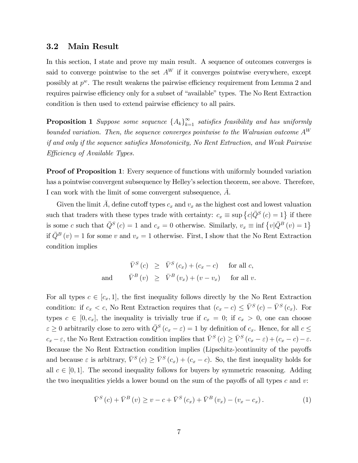#### 3.2 Main Result

In this section, I state and prove my main result. A sequence of outcomes converges is said to converge pointwise to the set  $A^W$  if it converges pointwise everywhere, except possibly at  $p^w$ . The result weakens the pairwise efficiency requirement from Lemma 2 and requires pairwise efficiency only for a subset of "available" types. The No Rent Extraction condition is then used to extend pairwise efficiency to all pairs.

**Proposition 1** Suppose some sequence  $\{A_k\}_{k=1}^{\infty}$  satisfies feasibility and has uniformly bounded variation. Then, the sequence converges pointwise to the Walrasian outcome  $A^W$ if and only if the sequence satisfies Monotonicity, No Rent Extraction, and Weak Pairwise Efficiency of Available Types.

**Proof of Proposition 1:** Every sequence of functions with uniformly bounded variation has a pointwise convergent subsequence by Helley's selection theorem, see above. Therefore, I can work with the limit of some convergent subsequence, A.

Given the limit A, define cutoff types  $c_x$  and  $v_x$  as the highest cost and lowest valuation such that traders with these types trade with certainty:  $c_x \equiv \sup \{c | \bar{Q}^S(c) = 1\}$  if there is some c such that  $\overline{Q}^S(c) = 1$  and  $c_x = 0$  otherwise. Similarly,  $v_x \equiv \inf \{v | \overline{Q}^B(v) = 1\}$ if  $\overline{Q}^B(v) = 1$  for some v and  $v_x = 1$  otherwise. First, I show that the No Rent Extraction condition implies

$$
\bar{V}^{S}(c) \geq \bar{V}^{S}(c_{x}) + (c_{x} - c) \quad \text{for all } c,
$$
  
and 
$$
\bar{V}^{B}(v) \geq \bar{V}^{B}(v_{x}) + (v - v_{x}) \quad \text{for all } v.
$$

For all types  $c \in [c_x, 1]$ , the first inequality follows directly by the No Rent Extraction condition: if  $c_x < c$ , No Rent Extraction requires that  $(c_x - c) \leq \overline{V}^S(c) - \overline{V}^S(c_x)$ . For types  $c \in [0, c_x]$ , the inequality is trivially true if  $c_x = 0$ ; if  $c_x > 0$ , one can choose  $\varepsilon \geq 0$  arbitrarily close to zero with  $\overline{Q}^S(c_x - \varepsilon) = 1$  by definition of  $c_x$ . Hence, for all  $c \leq$  $c_x - \varepsilon$ , the No Rent Extraction condition implies that  $\overline{V}^S(c) \ge \overline{V}^S(c_x - \varepsilon) + (c_x - c) - \varepsilon$ . Because the No Rent Extraction condition implies (Lipschitz-)continuity of the payoffs and because  $\varepsilon$  is arbitrary,  $\bar{V}^S(c) \ge \bar{V}^S(c_x) + (c_x - c)$ . So, the first inequality holds for all  $c \in [0, 1]$ . The second inequality follows for buyers by symmetric reasoning. Adding the two inequalities yields a lower bound on the sum of the payoffs of all types c and  $v$ :

$$
\bar{V}^{S}(c) + \bar{V}^{B}(v) \ge v - c + \bar{V}^{S}(c_{x}) + \bar{V}^{B}(v_{x}) - (v_{x} - c_{x}). \tag{1}
$$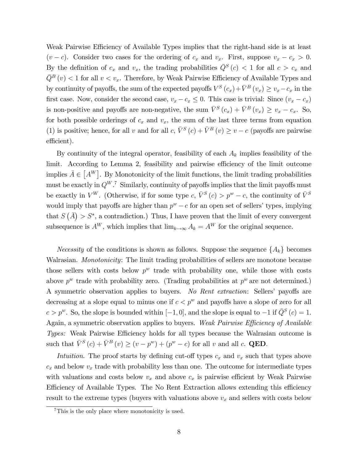Weak Pairwise Efficiency of Available Types implies that the right-hand side is at least  $(v - c)$ . Consider two cases for the ordering of  $c_x$  and  $v_x$ . First, suppose  $v_x - c_x > 0$ . By the definition of  $c_x$  and  $v_x$ , the trading probabilities  $\overline{Q}^S(c) < 1$  for all  $c > c_x$  and  $\overline{Q}^B(v)$  < 1 for all  $v < v_x$ . Therefore, by Weak Pairwise Efficiency of Available Types and by continuity of payoffs, the sum of the expected payoffs  $V^S(c_x)+\bar{V}^B(v_x) \ge v_x-c_x$  in the first case. Now, consider the second case,  $v_x - c_x \leq 0$ . This case is trivial: Since  $(v_x - c_x)$ is non-positive and payoffs are non-negative, the sum  $\bar{V}^S(c_x) + \bar{V}^B(v_x) \ge v_x - c_x$ . So, for both possible orderings of  $c_x$  and  $v_x$ , the sum of the last three terms from equation (1) is positive; hence, for all v and for all c,  $\bar{V}^{S}(c) + \bar{V}^{B}(v) \ge v - c$  (payoffs are pairwise efficient).

By continuity of the integral operator, feasibility of each  $A_k$  implies feasibility of the limit. According to Lemma 2, feasibility and pairwise efficiency of the limit outcome implies  $\bar{A} \in [A^W]$ . By Monotonicity of the limit functions, the limit trading probabilities must be exactly in  $Q^{W}.$ <sup>7</sup> Similarly, continuity of payoffs implies that the limit payoffs must be exactly in  $V^W$ . (Otherwise, if for some type  $c, \bar{V}^S(c) > p^w - c$ , the continuity of  $\bar{V}^S$ would imply that payoffs are higher than  $p^w - c$  for an open set of sellers' types, implying that  $S(\bar{A}) > S^*$ , a contradiction.) Thus, I have proven that the limit of every convergent subsequence is  $A^W$ , which implies that  $\lim_{k\to\infty} A_k = A^W$  for the original sequence.

*Necessity* of the conditions is shown as follows. Suppose the sequence  $\{A_k\}$  becomes Walrasian. Monotonicity: The limit trading probabilities of sellers are monotone because those sellers with costs below  $p^w$  trade with probability one, while those with costs above  $p^w$  trade with probability zero. (Trading probabilities at  $p^w$  are not determined.) A symmetric observation applies to buyers. No Rent extraction: Sellers' payoffs are decreasing at a slope equal to minus one if  $c < p^w$  and payoffs have a slope of zero for all  $c > p^w$ . So, the slope is bounded within  $[-1, 0]$ , and the slope is equal to  $-1$  if  $\overline{Q}^S(c) = 1$ . Again, a symmetric observation applies to buyers. Weak Pairwise Efficiency of Available Types: Weak Pairwise Efficiency holds for all types because the Walrasian outcome is such that  $\bar{V}^{S}(c) + \bar{V}^{B}(v) \ge (v - p^{w}) + (p^{w} - c)$  for all v and all c. QED.

Intuition. The proof starts by defining cut-off types  $c_x$  and  $v_x$  such that types above  $c_x$  and below  $v_x$  trade with probability less than one. The outcome for intermediate types with valuations and costs below  $v_x$  and above  $c_x$  is pairwise efficient by Weak Pairwise Efficiency of Available Types. The No Rent Extraction allows extending this efficiency result to the extreme types (buyers with valuations above  $v_x$  and sellers with costs below

<sup>7</sup>This is the only place where monotonicity is used.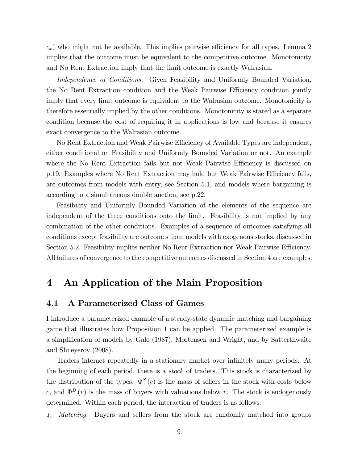$(c_x)$  who might not be available. This implies pairwise efficiency for all types. Lemma 2 implies that the outcome must be equivalent to the competitive outcome. Monotonicity and No Rent Extraction imply that the limit outcome is exactly Walrasian.

Independence of Conditions. Given Feasibility and Uniformly Bounded Variation, the No Rent Extraction condition and the Weak Pairwise Efficiency condition jointly imply that every limit outcome is equivalent to the Walrasian outcome. Monotonicity is therefore essentially implied by the other conditions. Monotonicity is stated as a separate condition because the cost of requiring it in applications is low and because it ensures exact convergence to the Walrasian outcome.

No Rent Extraction and Weak Pairwise Efficiency of Available Types are independent, either conditional on Feasibility and Uniformly Bounded Variation or not. An example where the No Rent Extraction fails but not Weak Pairwise Efficiency is discussed on p.19. Examples where No Rent Extraction may hold but Weak Pairwise Efficiency fails, are outcomes from models with entry, see Section 5.1, and models where bargaining is according to a simultaneous double auction, see p.22.

Feasibility and Uniformly Bounded Variation of the elements of the sequence are independent of the three conditions onto the limit. Feasibility is not implied by any combination of the other conditions. Examples of a sequence of outcomes satisfying all conditions except feasibility are outcomes from models with exogenous stocks, discussed in Section 5.2. Feasibility implies neither No Rent Extraction nor Weak Pairwise Efficiency. All failures of convergence to the competitive outcomes discussed in Section 4 are examples.

## 4 An Application of the Main Proposition

## 4.1 A Parameterized Class of Games

I introduce a parameterized example of a steady-state dynamic matching and bargaining game that illustrates how Proposition 1 can be applied. The parameterized example is a simplification of models by Gale (1987), Mortensen and Wright, and by Satterthwaite and Shneyerov (2008).

Traders interact repeatedly in a stationary market over infinitely many periods. At the beginning of each period, there is a stock of traders. This stock is characterized by the distribution of the types.  $\Phi^S(c)$  is the mass of sellers in the stock with costs below c, and  $\Phi^B(v)$  is the mass of buyers with valuations below v. The stock is endogenously determined. Within each period, the interaction of traders is as follows:

1. Matching. Buyers and sellers from the stock are randomly matched into groups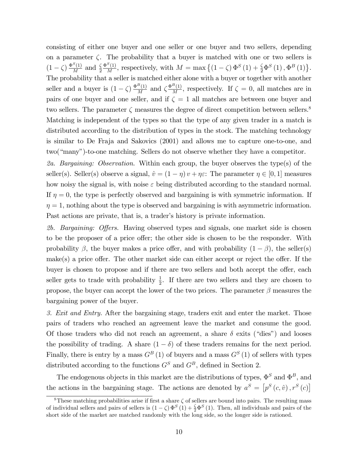consisting of either one buyer and one seller or one buyer and two sellers, depending on a parameter  $\zeta$ . The probability that a buyer is matched with one or two sellers is  $(1 - \zeta) \frac{\Phi^S(1)}{M}$  $\frac{S(1)}{M}$  and  $\frac{\zeta}{2}$  $\Phi^S(1)$  $\frac{S(1)}{M}$ , respectively, with  $M = \max\left\{ (1-\zeta)\,\Phi^S(1) + \frac{\zeta}{2}\Phi^S(1), \Phi^B(1) \right\}.$ The probability that a seller is matched either alone with a buyer or together with another seller and a buyer is  $(1 - \zeta) \frac{\Phi^B(1)}{M}$  $\frac{B(1)}{M}$  and  $\zeta \frac{\Phi^B(1)}{M}$  $\frac{C(1)}{M}$ , respectively. If  $\zeta = 0$ , all matches are in pairs of one buyer and one seller, and if  $\zeta = 1$  all matches are between one buyer and two sellers. The parameter  $\zeta$  measures the degree of direct competition between sellers.<sup>8</sup> Matching is independent of the types so that the type of any given trader in a match is distributed according to the distribution of types in the stock. The matching technology is similar to De Fraja and Sakovics (2001) and allows me to capture one-to-one, and two("many")-to-one matching. Sellers do not observe whether they have a competitor.

2a. Bargaining: Observation. Within each group, the buyer observes the type(s) of the seller(s). Seller(s) observe a signal,  $\hat{v} = (1 - \eta) v + \eta \varepsilon$ : The parameter  $\eta \in [0, 1]$  measures how noisy the signal is, with noise  $\varepsilon$  being distributed according to the standard normal. If  $\eta = 0$ , the type is perfectly observed and bargaining is with symmetric information. If  $\eta = 1$ , nothing about the type is observed and bargaining is with asymmetric information. Past actions are private, that is, a trader's history is private information.

2b. Bargaining: Offers. Having observed types and signals, one market side is chosen to be the proposer of a price offer; the other side is chosen to be the responder. With probability  $\beta$ , the buyer makes a price offer, and with probability  $(1 - \beta)$ , the seller(s)  $make(s)$  a price offer. The other market side can either accept or reject the offer. If the buyer is chosen to propose and if there are two sellers and both accept the offer, each seller gets to trade with probability  $\frac{1}{2}$ . If there are two sellers and they are chosen to propose, the buyer can accept the lower of the two prices. The parameter  $\beta$  measures the bargaining power of the buyer.

3. Exit and Entry. After the bargaining stage, traders exit and enter the market. Those pairs of traders who reached an agreement leave the market and consume the good. Of those traders who did not reach an agreement, a share  $\delta$  exits ("dies") and looses the possibility of trading. A share  $(1 - \delta)$  of these traders remains for the next period. Finally, there is entry by a mass  $G^B(1)$  of buyers and a mass  $G^S(1)$  of sellers with types distributed according to the functions  $G^S$  and  $G^B$ , defined in Section 2.

The endogenous objects in this market are the distributions of types,  $\Phi^S$  and  $\Phi^B$ , and the actions in the bargaining stage. The actions are denoted by  $a^S = [p^S(c, \hat{v}), r^S(c)]$ 

<sup>&</sup>lt;sup>8</sup>These matching probabilities arise if first a share  $\zeta$  of sellers are bound into pairs. The resulting mass of individual sellers and pairs of sellers is  $(1 - \zeta) \Phi^S(1) + \frac{\zeta}{2} \Phi^S(1)$ . Then, all individuals and pairs of the short side of the market are matched randomly with the long side, so the longer side is rationed.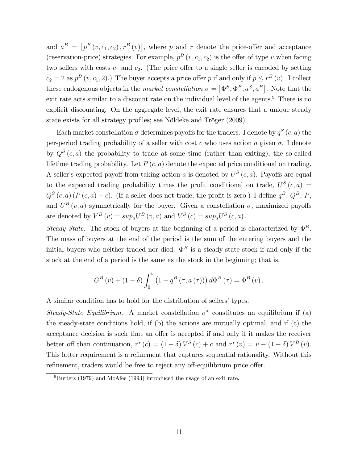and  $a^B = [p^B(v, c_1, c_2), r^B(v)]$ , where p and r denote the price-offer and acceptance (reservation-price) strategies. For example,  $p^{B}(v, c_1, c_2)$  is the offer of type v when facing two sellers with costs  $c_1$  and  $c_2$ . (The price offer to a single seller is encoded by setting  $c_2 = 2$  as  $p^B(v, c_1, 2)$ .) The buyer accepts a price offer p if and only if  $p \le r^B(v)$ . I collect these endogenous objects in the *market constellation*  $\sigma = [\Phi^S, \Phi^B, a^S, a^B]$ . Note that the exit rate acts similar to a discount rate on the individual level of the agents.<sup>9</sup> There is no explicit discounting. On the aggregate level, the exit rate ensures that a unique steady state exists for all strategy profiles; see Nöldeke and Tröger (2009).

Each market constellation  $\sigma$  determines payoffs for the traders. I denote by  $q^S(c, a)$  the per-period trading probability of a seller with cost  $c$  who uses action  $a$  given  $\sigma$ . I denote by  $Q^{S}(c, a)$  the probability to trade at some time (rather than exiting), the so-called lifetime trading probability. Let  $P(c, a)$  denote the expected price conditional on trading. A seller's expected payoff from taking action a is denoted by  $U^S(c, a)$ . Payoffs are equal to the expected trading probability times the profit conditional on trade,  $U^{S}(c, a) =$  $Q^{S}(c, a) (P(c, a) - c)$ . (If a seller does not trade, the profit is zero.) I define  $q^{B}$ ,  $Q^{B}$ , P, and  $U^B(v, a)$  symmetrically for the buyer. Given a constellation  $\sigma$ , maximized payoffs are denoted by  $V^B(v) = sup_a U^B(v, a)$  and  $V^S(c) = sup_a U^S(c, a)$ .

Steady State. The stock of buyers at the beginning of a period is characterized by  $\Phi^B$ . The mass of buyers at the end of the period is the sum of the entering buyers and the initial buyers who neither traded nor died.  $\Phi^B$  is a steady-state stock if and only if the stock at the end of a period is the same as the stock in the beginning; that is,

$$
G^{B}(v) + (1 - \delta) \int_{0}^{v} \left(1 - q^{B}(\tau, a(\tau))\right) d\Phi^{B}(\tau) = \Phi^{B}(v).
$$

A similar condition has to hold for the distribution of sellers' types.

Steady-State Equilibrium. A market constellation  $\sigma^*$  constitutes an equilibrium if (a) the steady-state conditions hold, if (b) the actions are mutually optimal, and if (c) the acceptance decision is such that an offer is accepted if and only if it makes the receiver better off than continuation,  $r^*(c) = (1 - \delta)V^S(c) + c$  and  $r^*(v) = v - (1 - \delta)V^B(v)$ . This latter requirement is a refinement that captures sequential rationality. Without this refinement, traders would be free to reject any off-equilibrium price offer.

 $9Butters$  (1979) and McAfee (1993) introduced the usage of an exit rate.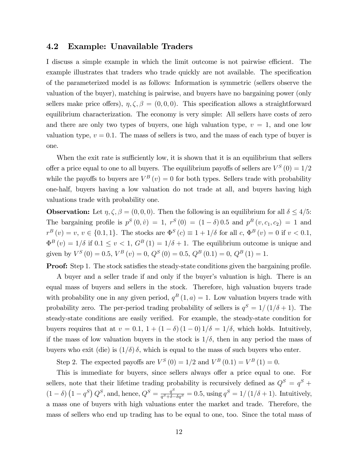#### 4.2 Example: Unavailable Traders

I discuss a simple example in which the limit outcome is not pairwise efficient. The example illustrates that traders who trade quickly are not available. The specification of the parameterized model is as follows: Information is symmetric (sellers observe the valuation of the buyer), matching is pairwise, and buyers have no bargaining power (only sellers make price offers),  $\eta, \zeta, \beta = (0, 0, 0)$ . This specification allows a straightforward equilibrium characterization. The economy is very simple: All sellers have costs of zero and there are only two types of buyers, one high valuation type,  $v = 1$ , and one low valuation type,  $v = 0.1$ . The mass of sellers is two, and the mass of each type of buyer is one.

When the exit rate is sufficiently low, it is shown that it is an equilibrium that sellers offer a price equal to one to all buyers. The equilibrium payoffs of sellers are  $V^S(0) = 1/2$ while the payoffs to buyers are  $V^B(v) = 0$  for both types. Sellers trade with probability one-half, buyers having a low valuation do not trade at all, and buyers having high valuations trade with probability one.

**Observation:** Let  $\eta, \zeta, \beta = (0, 0, 0)$ . Then the following is an equilibrium for all  $\delta \leq 4/5$ : The bargaining profile is  $p^{S}(0, \hat{v}) = 1$ ,  $r^{S}(0) = (1 - \delta) 0.5$  and  $p^{B}(v, c_1, c_2) = 1$  and  $r^{B}(v) = v, v \in \{0.1, 1\}.$  The stocks are  $\Phi^{S}(c) \equiv 1 + 1/\delta$  for all  $c, \Phi^{B}(v) = 0$  if  $v < 0.1$ ,  $\Phi^B(v) = 1/\delta$  if  $0.1 \le v < 1$ ,  $G^B(1) = 1/\delta + 1$ . The equilibrium outcome is unique and given by  $V^S(0) = 0.5$ ,  $V^B(v) = 0$ ,  $Q^S(0) = 0.5$ ,  $Q^B(0.1) = 0$ ,  $Q^B(1) = 1$ .

**Proof:** Step 1. The stock satisfies the steady-state conditions given the bargaining profile.

A buyer and a seller trade if and only if the buyer's valuation is high. There is an equal mass of buyers and sellers in the stock. Therefore, high valuation buyers trade with probability one in any given period,  $q^B(1, a) = 1$ . Low valuation buyers trade with probability zero. The per-period trading probability of sellers is  $q^S = 1/(1/\delta + 1)$ . The steady-state conditions are easily verified. For example, the steady-state condition for buyers requires that at  $v = 0.1$ ,  $1 + (1 - \delta) (1 - 0) 1/\delta = 1/\delta$ , which holds. Intuitively, if the mass of low valuation buyers in the stock is  $1/\delta$ , then in any period the mass of buyers who exit (die) is  $(1/\delta)\delta$ , which is equal to the mass of such buyers who enter.

Step 2. The expected payoffs are  $V^{S}(0) = 1/2$  and  $V^{B}(0.1) = V^{B}(1) = 0$ .

This is immediate for buyers, since sellers always offer a price equal to one. For sellers, note that their lifetime trading probability is recursively defined as  $Q^S = q^S +$  $(1 - \delta) (1 - q^S) Q^S$ , and, hence,  $Q^S = \frac{q^S}{a^S + \delta}$  $\frac{q^S}{q^S + \delta - \delta q^S} = 0.5$ , using  $q^S = 1/(1/\delta + 1)$ . Intuitively, a mass one of buyers with high valuations enter the market and trade. Therefore, the mass of sellers who end up trading has to be equal to one, too. Since the total mass of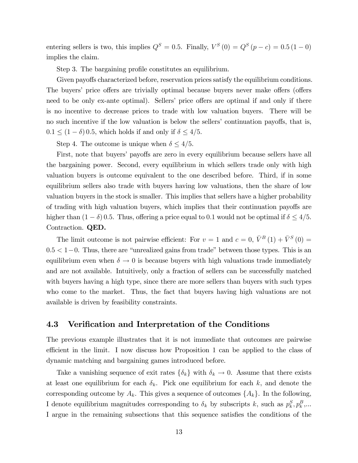entering sellers is two, this implies  $Q^S = 0.5$ . Finally,  $V^S(0) = Q^S(p-c) = 0.5(1-0)$ implies the claim.

Step 3. The bargaining profile constitutes an equilibrium.

Given payoffs characterized before, reservation prices satisfy the equilibrium conditions. The buyers' price offers are trivially optimal because buyers never make offers (offers need to be only ex-ante optimal). Sellers' price offers are optimal if and only if there is no incentive to decrease prices to trade with low valuation buyers. There will be no such incentive if the low valuation is below the sellers' continuation payoffs, that is,  $0.1 \leq (1 - \delta) 0.5$ , which holds if and only if  $\delta \leq 4/5$ .

Step 4. The outcome is unique when  $\delta \leq 4/5$ .

First, note that buyers' payoffs are zero in every equilibrium because sellers have all the bargaining power. Second, every equilibrium in which sellers trade only with high valuation buyers is outcome equivalent to the one described before. Third, if in some equilibrium sellers also trade with buyers having low valuations, then the share of low valuation buyers in the stock is smaller. This implies that sellers have a higher probability of trading with high valuation buyers, which implies that their continuation payoffs are higher than  $(1 - \delta)$  0.5. Thus, offering a price equal to 0.1 would not be optimal if  $\delta \leq 4/5$ . Contraction. QED.

The limit outcome is not pairwise efficient: For  $v = 1$  and  $c = 0$ ,  $\bar{V}^B(1) + \bar{V}^S(0) =$  $0.5 < 1-0$ . Thus, there are "unrealized gains from trade" between those types. This is an equilibrium even when  $\delta \to 0$  is because buyers with high valuations trade immediately and are not available. Intuitively, only a fraction of sellers can be successfully matched with buyers having a high type, since there are more sellers than buyers with such types who come to the market. Thus, the fact that buyers having high valuations are not available is driven by feasibility constraints.

#### 4.3 Verification and Interpretation of the Conditions

The previous example illustrates that it is not immediate that outcomes are pairwise efficient in the limit. I now discuss how Proposition 1 can be applied to the class of dynamic matching and bargaining games introduced before.

Take a vanishing sequence of exit rates  $\{\delta_k\}$  with  $\delta_k \to 0$ . Assume that there exists at least one equilibrium for each  $\delta_k$ . Pick one equilibrium for each k, and denote the corresponding outcome by  $A_k$ . This gives a sequence of outcomes  $\{A_k\}$ . In the following, I denote equilibrium magnitudes corresponding to  $\delta_k$  by subscripts k, such as  $p_k^S, p_k^B, \dots$ I argue in the remaining subsections that this sequence satisfies the conditions of the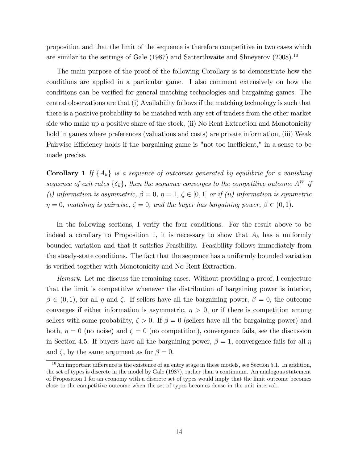proposition and that the limit of the sequence is therefore competitive in two cases which are similar to the settings of Gale (1987) and Satterthwaite and Shneyerov (2008).<sup>10</sup>

The main purpose of the proof of the following Corollary is to demonstrate how the conditions are applied in a particular game. I also comment extensively on how the conditions can be verified for general matching technologies and bargaining games. The central observations are that (i) Availability follows if the matching technology is such that there is a positive probability to be matched with any set of traders from the other market side who make up a positive share of the stock, (ii) No Rent Extraction and Monotonicity hold in games where preferences (valuations and costs) are private information, (iii) Weak Pairwise Efficiency holds if the bargaining game is "not too inefficient," in a sense to be made precise.

**Corollary 1** If  $\{A_k\}$  is a sequence of outcomes generated by equilibria for a vanishing sequence of exit rates  $\{\delta_k\}$ , then the sequence converges to the competitive outcome  $A^W$  if (i) information is asymmetric,  $\beta = 0$ ,  $\eta = 1$ ,  $\zeta \in [0, 1]$  or if (ii) information is symmetric  $\eta = 0$ , matching is pairwise,  $\zeta = 0$ , and the buyer has bargaining power,  $\beta \in (0, 1)$ .

In the following sections, I verify the four conditions. For the result above to be indeed a corollary to Proposition 1, it is necessary to show that  $A_k$  has a uniformly bounded variation and that it satisfies Feasibility. Feasibility follows immediately from the steady-state conditions. The fact that the sequence has a uniformly bounded variation is verified together with Monotonicity and No Rent Extraction.

Remark. Let me discuss the remaining cases. Without providing a proof, I conjecture that the limit is competitive whenever the distribution of bargaining power is interior,  $\beta \in (0,1)$ , for all  $\eta$  and  $\zeta$ . If sellers have all the bargaining power,  $\beta = 0$ , the outcome converges if either information is asymmetric,  $\eta > 0$ , or if there is competition among sellers with some probability,  $\zeta > 0$ . If  $\beta = 0$  (sellers have all the bargaining power) and both,  $\eta = 0$  (no noise) and  $\zeta = 0$  (no competition), convergence fails, see the discussion in Section 4.5. If buyers have all the bargaining power,  $\beta = 1$ , convergence fails for all  $\eta$ and  $\zeta$ , by the same argument as for  $\beta = 0$ .

 $10$ An important difference is the existence of an entry stage in these models, see Section 5.1. In addition, the set of types is discrete in the model by Gale (1987), rather than a continuum. An analogous statement of Proposition 1 for an economy with a discrete set of types would imply that the limit outcome becomes close to the competitive outcome when the set of types becomes dense in the unit interval.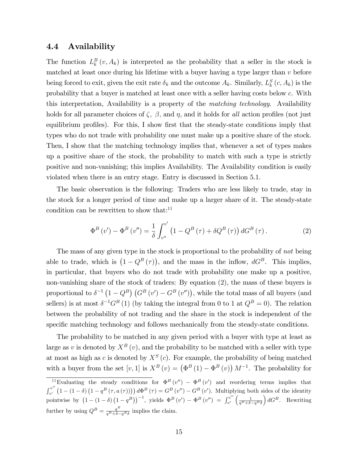#### 4.4 Availability

The function  $L_k^B(v, A_k)$  is interpreted as the probability that a seller in the stock is matched at least once during his lifetime with a buyer having a type larger than  $v$  before being forced to exit, given the exit rate  $\delta_k$  and the outcome  $A_k$ . Similarly,  $L_k^S(c, A_k)$  is the probability that a buyer is matched at least once with a seller having costs below c. With this interpretation, Availability is a property of the matching technology. Availability holds for all parameter choices of  $\zeta$ ,  $\beta$ , and  $\eta$ , and it holds for all action profiles (not just equilibrium profiles). For this, I show first that the steady-state conditions imply that types who do not trade with probability one must make up a positive share of the stock. Then, I show that the matching technology implies that, whenever a set of types makes up a positive share of the stock, the probability to match with such a type is strictly positive and non-vanishing; this implies Availability. The Availability condition is easily violated when there is an entry stage. Entry is discussed in Section 5.1.

The basic observation is the following: Traders who are less likely to trade, stay in the stock for a longer period of time and make up a larger share of it. The steady-state condition can be rewritten to show that: $11$ 

$$
\Phi^{B}(v') - \Phi^{B}(v'') = \frac{1}{\delta} \int_{v''}^{v'} (1 - Q^{B}(\tau) + \delta Q^{B}(\tau)) dG^{B}(\tau).
$$
 (2)

The mass of any given type in the stock is proportional to the probability of not being able to trade, which is  $(1 - Q^B(\tau))$ , and the mass in the inflow,  $dG^B$ . This implies, in particular, that buyers who do not trade with probability one make up a positive, non-vanishing share of the stock of traders: By equation (2), the mass of these buyers is proportional to  $\delta^{-1} (1 - Q^B) (G^B (v') - G^B (v''))$ , while the total mass of all buyers (and sellers) is at most  $\delta^{-1}G^B(1)$  (by taking the integral from 0 to 1 at  $Q^B = 0$ ). The relation between the probability of not trading and the share in the stock is independent of the specific matching technology and follows mechanically from the steady-state conditions.

The probability to be matched in any given period with a buyer with type at least as large as v is denoted by  $X^B(v)$ , and the probability to be matched with a seller with type at most as high as c is denoted by  $X^S(c)$ . For example, the probability of being matched with a buyer from the set  $[v, 1]$  is  $X^B(v) = (\Phi^B(1) - \Phi^B(v)) M^{-1}$ . The probability for

<sup>&</sup>lt;sup>11</sup>Evaluating the steady conditions for  $\Phi^B(v'') - \Phi^B(v')$  and reordering terms implies that  $\int_0^v u''$  $v''$   $(1-(1-\delta)(1-q^B(\tau,a(\tau))))d\Phi^B(\tau) = G^B(v'') - G^B(v')$ . Multiplying both sides of the identity pointwise by  $(1 - (1 - \delta) (1 - q^B))^{-1}$ , yields  $\Phi^B(v') - \Phi^B(v'') = \int_{v'}^{v''}$  $v'' \left( \frac{1}{q^B + \delta - q^B \delta} \right)$  $\Big) dG^B$ . Rewriting further by using  $Q^B = \frac{q^B}{q^B + \delta - q^B \delta}$  implies the claim. B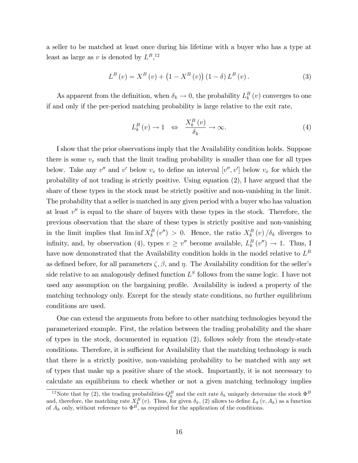a seller to be matched at least once during his lifetime with a buyer who has a type at least as large as v is denoted by  $L^B$ ,<sup>12</sup>,

$$
L^{B}(v) = X^{B}(v) + (1 - X^{B}(v))(1 - \delta) L^{B}(v).
$$
 (3)

As apparent from the definition, when  $\delta_k \to 0$ , the probability  $L_k^B(v)$  converges to one if and only if the per-period matching probability is large relative to the exit rate,

$$
L_k^B(v) \to 1 \quad \Leftrightarrow \quad \frac{X_k^B(v)}{\delta_k} \to \infty. \tag{4}
$$

I show that the prior observations imply that the Availability condition holds. Suppose there is some  $v_x$  such that the limit trading probability is smaller than one for all types below. Take any  $v''$  and  $v'$  below  $v_x$  to define an interval  $[v'', v']$  below  $v_x$  for which the probability of not trading is strictly positive. Using equation (2), I have argued that the share of these types in the stock must be strictly positive and non-vanishing in the limit. The probability that a seller is matched in any given period with a buyer who has valuation at least  $v''$  is equal to the share of buyers with these types in the stock. Therefore, the previous observation that the share of these types is strictly positive and non-vanishing in the limit implies that  $\liminf X_k^B(v'') > 0$ . Hence, the ratio  $X_k^B(v)/\delta_k$  diverges to infinity, and, by observation (4), types  $v \geq v''$  become available,  $L_k^B(v'') \to 1$ . Thus, I have now demonstrated that the Availability condition holds in the model relative to  $L^B$ as defined before, for all parameters  $\zeta$ ,  $\beta$ , and  $\eta$ . The Availability condition for the seller's side relative to an analogously defined function  $L^S$  follows from the same logic. I have not used any assumption on the bargaining profile. Availability is indeed a property of the matching technology only. Except for the steady state conditions, no further equilibrium conditions are used.

One can extend the arguments from before to other matching technologies beyond the parameterized example. First, the relation between the trading probability and the share of types in the stock, documented in equation (2), follows solely from the steady-state conditions. Therefore, it is sufficient for Availability that the matching technology is such that there is a strictly positive, non-vanishing probability to be matched with any set of types that make up a positive share of the stock. Importantly, it is not necessary to calculate an equilibrium to check whether or not a given matching technology implies

<sup>&</sup>lt;sup>12</sup>Note that by (2), the trading probabilities  $Q_k^B$  and the exit rate  $\delta_k$  uniquely determine the stock  $\Phi^B$ and, therefore, the matching rate  $X_{k}^{B}(v)$ . Thus, for given  $\delta_{k}$ , (2) allows to define  $L_{k}(v, A_{k})$  as a function of  $A_k$  only, without reference to  $\Phi^B$ , as required for the application of the conditions.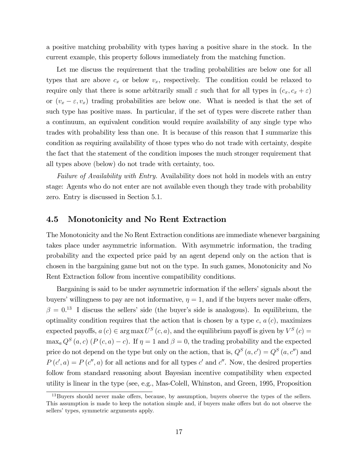a positive matching probability with types having a positive share in the stock. In the current example, this property follows immediately from the matching function.

Let me discuss the requirement that the trading probabilities are below one for all types that are above  $c_x$  or below  $v_x$ , respectively. The condition could be relaxed to require only that there is some arbitrarily small  $\varepsilon$  such that for all types in  $(c_x, c_x + \varepsilon)$ or  $(v_x - \varepsilon, v_x)$  trading probabilities are below one. What is needed is that the set of such type has positive mass. In particular, if the set of types were discrete rather than a continuum, an equivalent condition would require availability of any single type who trades with probability less than one. It is because of this reason that I summarize this condition as requiring availability of those types who do not trade with certainty, despite the fact that the statement of the condition imposes the much stronger requirement that all types above (below) do not trade with certainty, too.

Failure of Availability with Entry. Availability does not hold in models with an entry stage: Agents who do not enter are not available even though they trade with probability zero. Entry is discussed in Section 5.1.

### 4.5 Monotonicity and No Rent Extraction

The Monotonicity and the No Rent Extraction conditions are immediate whenever bargaining takes place under asymmetric information. With asymmetric information, the trading probability and the expected price paid by an agent depend only on the action that is chosen in the bargaining game but not on the type. In such games, Monotonicity and No Rent Extraction follow from incentive compatibility conditions.

Bargaining is said to be under asymmetric information if the sellers' signals about the buyers' willingness to pay are not informative,  $\eta = 1$ , and if the buyers never make offers,  $\beta = 0^{13}$  I discuss the sellers' side (the buyer's side is analogous). In equilibrium, the optimality condition requires that the action that is chosen by a type  $c, a (c)$ , maximizes expected payoffs,  $a(c) \in \arg \max U^S(c, a)$ , and the equilibrium payoff is given by  $V^S(c)$  $\max_a Q^S(a, c)$   $(P(c, a) - c)$ . If  $\eta = 1$  and  $\beta = 0$ , the trading probability and the expected price do not depend on the type but only on the action, that is,  $Q^S(a, c') = Q^S(a, c'')$  and  $P(c', a) = P(c'', a)$  for all actions and for all types c' and c''. Now, the desired properties follow from standard reasoning about Bayesian incentive compatibility when expected utility is linear in the type (see, e.g., Mas-Colell, Whinston, and Green, 1995, Proposition

 $13$ Buyers should never make offers, because, by assumption, buyers observe the types of the sellers. This assumption is made to keep the notation simple and, if buyers make offers but do not observe the sellers' types, symmetric arguments apply.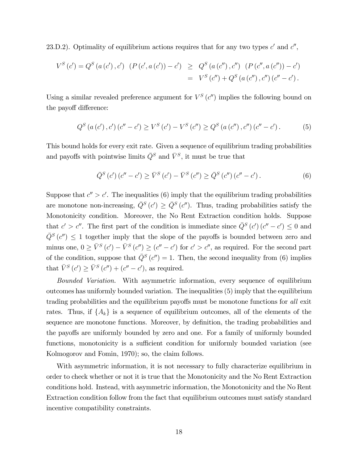23.D.2). Optimality of equilibrium actions requires that for any two types  $c'$  and  $c''$ ,

$$
V^{S}(c') = Q^{S}(a(c'), c') \quad (P(c', a(c')) - c') \geq Q^{S}(a(c''), c'') \quad (P(c'', a(c'')) - c')
$$
  
= 
$$
V^{S}(c'') + Q^{S}(a(c''), c'') (c'' - c').
$$

Using a similar revealed preference argument for  $V^S(c'')$  implies the following bound on the payoff difference:

$$
Q^{S}(a(c'),c')(c''-c') \ge V^{S}(c') - V^{S}(c'') \ge Q^{S}(a(c''),c'')(c''-c').
$$
 (5)

This bound holds for every exit rate. Given a sequence of equilibrium trading probabilities and payoffs with pointwise limits  $\bar{Q}^S$  and  $\bar{V}^S$ , it must be true that

$$
\bar{Q}^{S}(c')(c''-c') \ge \bar{V}^{S}(c') - \bar{V}^{S}(c'') \ge \bar{Q}^{S}(c'')(c''-c').
$$
\n(6)

Suppose that  $c'' > c'$ . The inequalities (6) imply that the equilibrium trading probabilities are monotone non-increasing,  $\overline{Q}^{S}(c') \geq \overline{Q}^{S}(c'')$ . Thus, trading probabilities satisfy the Monotonicity condition. Moreover, the No Rent Extraction condition holds. Suppose that  $c' > c''$ . The first part of the condition is immediate since  $\overline{Q}^S(c')$   $(c'' - c') \leq 0$  and  $\bar{Q}^{S}(c'') \leq 1$  together imply that the slope of the payoffs is bounded between zero and minus one,  $0 \ge \bar{V}^S(c') - \bar{V}^S(c'') \ge (c'' - c')$  for  $c' > c''$ , as required. For the second part of the condition, suppose that  $\overline{Q}^{S}(c'') = 1$ . Then, the second inequality from (6) implies that  $\bar{V}^{S}(c') \geq \bar{V}^{S}(c'') + (c'' - c')$ , as required.

Bounded Variation. With asymmetric information, every sequence of equilibrium outcomes has uniformly bounded variation. The inequalities (5) imply that the equilibrium trading probabilities and the equilibrium payoffs must be monotone functions for all exit rates. Thus, if  $\{A_k\}$  is a sequence of equilibrium outcomes, all of the elements of the sequence are monotone functions. Moreover, by definition, the trading probabilities and the payoffs are uniformly bounded by zero and one. For a family of uniformly bounded functions, monotonicity is a sufficient condition for uniformly bounded variation (see Kolmogorov and Fomin, 1970); so, the claim follows.

With asymmetric information, it is not necessary to fully characterize equilibrium in order to check whether or not it is true that the Monotonicity and the No Rent Extraction conditions hold. Instead, with asymmetric information, the Monotonicity and the No Rent Extraction condition follow from the fact that equilibrium outcomes must satisfy standard incentive compatibility constraints.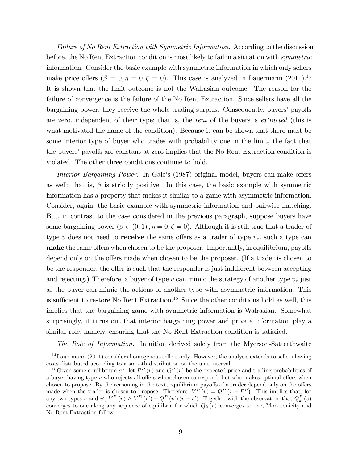Failure of No Rent Extraction with Symmetric Information. According to the discussion before, the No Rent Extraction condition is most likely to fail in a situation with *symmetric* information. Consider the basic example with symmetric information in which only sellers make price offers  $(\beta = 0, \eta = 0, \zeta = 0)$ . This case is analyzed in Lauermann (2011).<sup>14</sup> It is shown that the limit outcome is not the Walrasian outcome. The reason for the failure of convergence is the failure of the No Rent Extraction. Since sellers have all the bargaining power, they receive the whole trading surplus. Consequently, buyers' payoffs are zero, independent of their type; that is, the *rent* of the buyers is *extracted* (this is what motivated the name of the condition). Because it can be shown that there must be some interior type of buyer who trades with probability one in the limit, the fact that the buyers' payoffs are constant at zero implies that the No Rent Extraction condition is violated. The other three conditions continue to hold.

Interior Bargaining Power. In Gale's (1987) original model, buyers can make offers as well; that is,  $\beta$  is strictly positive. In this case, the basic example with symmetric information has a property that makes it similar to a game with asymmetric information. Consider, again, the basic example with symmetric information and pairwise matching. But, in contrast to the case considered in the previous paragraph, suppose buyers have some bargaining power  $(\beta \in (0,1), \eta = 0, \zeta = 0)$ . Although it is still true that a trader of type v does not need to **receive** the same offers as a trader of type  $v_x$ , such a type can make the same offers when chosen to be the proposer. Importantly, in equilibrium, payoffs depend only on the offers made when chosen to be the proposer. (If a trader is chosen to be the responder, the offer is such that the responder is just indifferent between accepting and rejecting.) Therefore, a buyer of type  $v$  can mimic the strategy of another type  $v_x$  just as the buyer can mimic the actions of another type with asymmetric information. This is sufficient to restore No Rent Extraction.<sup>15</sup> Since the other conditions hold as well, this implies that the bargaining game with symmetric information is Walrasian. Somewhat surprisingly, it turns out that interior bargaining power and private information play a similar role, namely, ensuring that the No Rent Extraction condition is satisfied.

The Role of Information. Intuition derived solely from the Myerson-Satterthwaite

<sup>14</sup>Lauermann (2011) considers homogenous sellers only. However, the analysis extends to sellers having costs distributed according to a smooth distribution on the unit interval.

<sup>&</sup>lt;sup>15</sup>Given some equilibrium  $\sigma^*$ , let  $P^P(v)$  and  $Q^P(v)$  be the expected price and trading probabilities of a buyer having type  $v$  who rejects all offers when chosen to respond, but who makes optimal offers when chosen to propose. By the reasoning in the text, equilibrium payoffs of a trader depend only on the offers made when the trader is chosen to propose. Therefore,  $V^B(v) = Q^P(v - P^P)$ . This implies that, for any two types v and v',  $V^B(v) \ge V^B(v') + Q^P(v')(v-v')$ . Together with the observation that  $Q_k^P(v)$ converges to one along any sequence of equilibria for which  $Q_k(v)$  converges to one, Monotonicity and No Rent Extraction follow.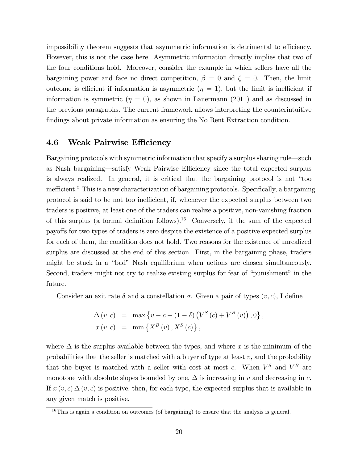impossibility theorem suggests that asymmetric information is detrimental to efficiency. However, this is not the case here. Asymmetric information directly implies that two of the four conditions hold. Moreover, consider the example in which sellers have all the bargaining power and face no direct competition,  $\beta = 0$  and  $\zeta = 0$ . Then, the limit outcome is efficient if information is asymmetric  $(\eta = 1)$ , but the limit is inefficient if information is symmetric  $(\eta = 0)$ , as shown in Lauermann (2011) and as discussed in the previous paragraphs. The current framework allows interpreting the counterintuitive Öndings about private information as ensuring the No Rent Extraction condition.

### 4.6 Weak Pairwise Efficiency

Bargaining protocols with symmetric information that specify a surplus sharing rule—such as Nash bargaining—satisfy Weak Pairwise Efficiency since the total expected surplus is always realized. In general, it is critical that the bargaining protocol is not "too inefficient." This is a new characterization of bargaining protocols. Specifically, a bargaining protocol is said to be not too inefficient, if, whenever the expected surplus between two traders is positive, at least one of the traders can realize a positive, non-vanishing fraction of this surplus (a formal definition follows).<sup>16</sup> Conversely, if the sum of the expected payoffs for two types of traders is zero despite the existence of a positive expected surplus for each of them, the condition does not hold. Two reasons for the existence of unrealized surplus are discussed at the end of this section. First, in the bargaining phase, traders might be stuck in a "bad" Nash equilibrium when actions are chosen simultaneously. Second, traders might not try to realize existing surplus for fear of "punishment" in the future.

Consider an exit rate  $\delta$  and a constellation  $\sigma$ . Given a pair of types  $(v, c)$ , I define

$$
\Delta (v, c) = \max \{ v - c - (1 - \delta) (V^S (c) + V^B (v)), 0 \},
$$
  

$$
x (v, c) = \min \{ X^B (v), X^S (c) \},
$$

where  $\Delta$  is the surplus available between the types, and where x is the minimum of the probabilities that the seller is matched with a buyer of type at least  $v$ , and the probability that the buyer is matched with a seller with cost at most c. When  $V^S$  and  $V^B$  are monotone with absolute slopes bounded by one,  $\Delta$  is increasing in v and decreasing in c. If  $x(v, c) \Delta(v, c)$  is positive, then, for each type, the expected surplus that is available in any given match is positive.

 $16$ This is again a condition on outcomes (of bargaining) to ensure that the analysis is general.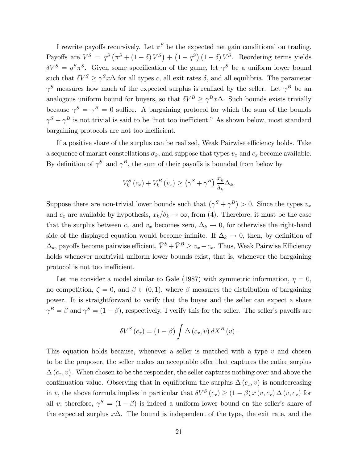I rewrite payoffs recursively. Let  $\pi^S$  be the expected net gain conditional on trading. Payoffs are  $V^S = q^S (\pi^S + (1 - \delta) V^S) + (1 - q^S) (1 - \delta) V^S$ . Reordering terms yields  $\delta V^S = q^S \pi^S$ . Given some specification of the game, let  $\gamma^S$  be a uniform lower bound such that  $\delta V^S \ge \gamma^S x \Delta$  for all types c, all exit rates  $\delta$ , and all equilibria. The parameter  $\gamma^S$  measures how much of the expected surplus is realized by the seller. Let  $\gamma^B$  be an analogous uniform bound for buyers, so that  $\delta V^B \ge \gamma^B x \Delta$ . Such bounds exists trivially because  $\gamma^S = \gamma^B = 0$  suffice. A bargaining protocol for which the sum of the bounds  $\gamma^S + \gamma^B$  is not trivial is said to be "not too inefficient." As shown below, most standard bargaining protocols are not too inefficient.

If a positive share of the surplus can be realized, Weak Pairwise efficiency holds. Take a sequence of market constellations  $\sigma_k$ , and suppose that types  $v_x$  and  $c_x$  become available. By definition of  $\gamma^S$  and  $\gamma^B$ , the sum of their payoffs is bounded from below by

$$
V_k^S(c_x) + V_k^B(v_x) \ge (\gamma^S + \gamma^B) \frac{x_k}{\delta_k} \Delta_k.
$$

Suppose there are non-trivial lower bounds such that  $(\gamma^S + \gamma^B) > 0$ . Since the types  $v_x$ and  $c_x$  are available by hypothesis,  $x_k/\delta_k \to \infty$ , from (4). Therefore, it must be the case that the surplus between  $c_x$  and  $v_x$  becomes zero,  $\Delta_k \to 0$ , for otherwise the right-hand side of the displayed equation would become infinite. If  $\Delta_k \to 0$ , then, by definition of  $\Delta_k$ , payoffs become pairwise efficient,  $\bar{V}^S + \bar{V}^B \ge v_x - c_x$ . Thus, Weak Pairwise Efficiency holds whenever nontrivial uniform lower bounds exist, that is, whenever the bargaining protocol is not too inefficient.

Let me consider a model similar to Gale (1987) with symmetric information,  $\eta = 0$ , no competition,  $\zeta = 0$ , and  $\beta \in (0, 1)$ , where  $\beta$  measures the distribution of bargaining power. It is straightforward to verify that the buyer and the seller can expect a share  $\gamma^B = \beta$  and  $\gamma^S = (1 - \beta)$ , respectively. I verify this for the seller. The seller's payoffs are

$$
\delta V^{S}(c_{x}) = (1 - \beta) \int \Delta(c_{x}, v) dX^{B}(v).
$$

This equation holds because, whenever a seller is matched with a type  $v$  and chosen to be the proposer, the seller makes an acceptable offer that captures the entire surplus  $\Delta(c_x, v)$ . When chosen to be the responder, the seller captures nothing over and above the continuation value. Observing that in equilibrium the surplus  $\Delta(c_x, v)$  is nondecreasing in v, the above formula implies in particular that  $\delta V^S(c_x) \geq (1-\beta)x(v,c_x) \Delta(v,c_x)$  for all v; therefore,  $\gamma^S = (1 - \beta)$  is indeed a uniform lower bound on the seller's share of the expected surplus  $x\Delta$ . The bound is independent of the type, the exit rate, and the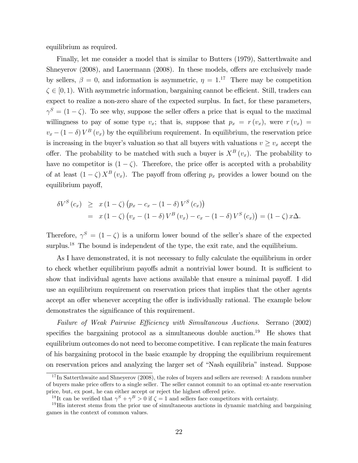equilibrium as required.

Finally, let me consider a model that is similar to Butters (1979), Satterthwaite and Shneyerov  $(2008)$ , and Lauermann  $(2008)$ . In these models, offers are exclusively made by sellers,  $\beta = 0$ , and information is asymmetric,  $\eta = 1$ .<sup>17</sup> There may be competition  $\zeta \in [0, 1]$ . With asymmetric information, bargaining cannot be efficient. Still, traders can expect to realize a non-zero share of the expected surplus. In fact, for these parameters,  $\gamma^{S} = (1 - \zeta)$ . To see why, suppose the seller offers a price that is equal to the maximal willingness to pay of some type  $v_x$ ; that is, suppose that  $p_x = r(v_x)$ , were  $r(v_x) =$  $v_x - (1 - \delta) V^B(v_x)$  by the equilibrium requirement. In equilibrium, the reservation price is increasing in the buyer's valuation so that all buyers with valuations  $v \ge v_x$  accept the offer. The probability to be matched with such a buyer is  $X^B(v_x)$ . The probability to have no competitor is  $(1 - \zeta)$ . Therefore, the price offer is accepted with a probability of at least  $(1 - \zeta) X^B(v_x)$ . The payoff from offering  $p_x$  provides a lower bound on the equilibrium payoff,

$$
\delta V^{S}(c_{x}) \geq x (1 - \zeta) (p_{x} - c_{x} - (1 - \delta) V^{S}(c_{x}))
$$
  
=  $x (1 - \zeta) (v_{x} - (1 - \delta) V^{B}(v_{x}) - c_{x} - (1 - \delta) V^{S}(c_{x})) = (1 - \zeta) x \Delta.$ 

Therefore,  $\gamma^{S} = (1 - \zeta)$  is a uniform lower bound of the seller's share of the expected surplus.<sup>18</sup> The bound is independent of the type, the exit rate, and the equilibrium.

As I have demonstrated, it is not necessary to fully calculate the equilibrium in order to check whether equilibrium payoffs admit a nontrivial lower bound. It is sufficient to show that individual agents have actions available that ensure a minimal payoff. I did use an equilibrium requirement on reservation prices that implies that the other agents accept an offer whenever accepting the offer is individually rational. The example below demonstrates the significance of this requirement.

Failure of Weak Pairwise Efficiency with Simultaneous Auctions. Serrano (2002) specifies the bargaining protocol as a simultaneous double auction.<sup>19</sup> He shows that equilibrium outcomes do not need to become competitive. I can replicate the main features of his bargaining protocol in the basic example by dropping the equilibrium requirement on reservation prices and analyzing the larger set of "Nash equilibria" instead. Suppose

 $17$  In Satterthwaite and Shneyerov (2008), the roles of buyers and sellers are reversed: A random number of buyers make price offers to a single seller. The seller cannot commit to an optimal ex-ante reservation price, but, ex post, he can either accept or reject the highest offered price.

<sup>&</sup>lt;sup>18</sup>It can be verified that  $\gamma^S + \gamma^B > 0$  if  $\zeta = 1$  and sellers face competitors with certainty.

<sup>&</sup>lt;sup>19</sup>His interest stems from the prior use of simultaneous auctions in dynamic matching and bargaining games in the context of common values.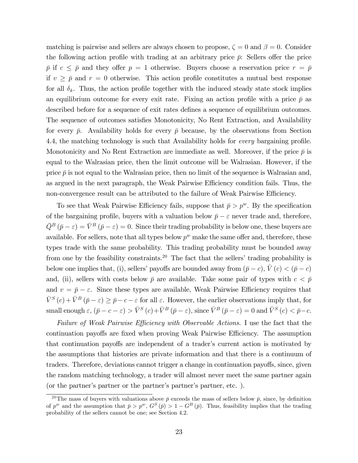matching is pairwise and sellers are always chosen to propose,  $\zeta = 0$  and  $\beta = 0$ . Consider the following action profile with trading at an arbitrary price  $\bar{p}$ : Sellers offer the price  $\bar{p}$  if  $c \leq \bar{p}$  and they offer  $p = 1$  otherwise. Buyers choose a reservation price  $r = \bar{p}$ if  $v \geq \bar{p}$  and  $r = 0$  otherwise. This action profile constitutes a mutual best response for all  $\delta_k$ . Thus, the action profile together with the induced steady state stock implies an equilibrium outcome for every exit rate. Fixing an action profile with a price  $\bar{p}$  as described before for a sequence of exit rates defines a sequence of equilibrium outcomes. The sequence of outcomes satisfies Monotonicity, No Rent Extraction, and Availability for every  $\bar{p}$ . Availability holds for every  $\bar{p}$  because, by the observations from Section 4.4, the matching technology is such that Availability holds for *every* bargaining profile. Monotonicity and No Rent Extraction are immediate as well. Moreover, if the price  $\bar{p}$  is equal to the Walrasian price, then the limit outcome will be Walrasian. However, if the price  $\bar{p}$  is not equal to the Walrasian price, then no limit of the sequence is Walrasian and, as argued in the next paragraph, the Weak Pairwise Efficiency condition fails. Thus, the non-convergence result can be attributed to the failure of Weak Pairwise Efficiency.

To see that Weak Pairwise Efficiency fails, suppose that  $\bar{p} > p^w$ . By the specification of the bargaining profile, buyers with a valuation below  $\bar{p} - \varepsilon$  never trade and, therefore,  $\bar{Q}^B(\bar{p}-\varepsilon) = \bar{V}^B(\bar{p}-\varepsilon) = 0$ . Since their trading probability is below one, these buyers are available. For sellers, note that all types below  $p^w$  make the same offer and, therefore, these types trade with the same probability. This trading probability must be bounded away from one by the feasibility constraints.<sup>20</sup> The fact that the sellers' trading probability is below one implies that, (i), sellers' payoffs are bounded away from  $(\bar{p} - c)$ ,  $\bar{V}(c) < (\bar{p} - c)$ and, (ii), sellers with costs below  $\bar{p}$  are available. Take some pair of types with  $c < \bar{p}$ and  $v = \bar{p} - \varepsilon$ . Since these types are available, Weak Pairwise Efficiency requires that  $\bar{V}^{S}(c) + \bar{V}^{B}(\bar{p}-\varepsilon) \geq \bar{p}-c-\varepsilon$  for all  $\varepsilon$ . However, the earlier observations imply that, for small enough  $\varepsilon$ ,  $(\bar{p} - c - \varepsilon) > \bar{V}^{S}(c) + \bar{V}^{B}(\bar{p} - \varepsilon)$ , since  $\bar{V}^{B}(\bar{p} - \varepsilon) = 0$  and  $\bar{V}^{S}(c) < \bar{p} - c$ .

Failure of Weak Pairwise Efficiency with Observable Actions. I use the fact that the continuation payoffs are fixed when proving Weak Pairwise Efficiency. The assumption that continuation payoffs are independent of a trader's current action is motivated by the assumptions that histories are private information and that there is a continuum of traders. Therefore, deviations cannot trigger a change in continuation payoffs, since, given the random matching technology, a trader will almost never meet the same partner again (or the partner's partner or the partner's partner's partner, etc.).

<sup>&</sup>lt;sup>20</sup>The mass of buyers with valuations above  $\bar{p}$  exceeds the mass of sellers below  $\bar{p}$ , since, by definition of  $p^w$  and the assumption that  $\bar{p} > p^w$ ,  $G^S(\bar{p}) > 1 - G^B(\bar{p})$ . Thus, feasibility implies that the trading probability of the sellers cannot be one; see Section 4.2.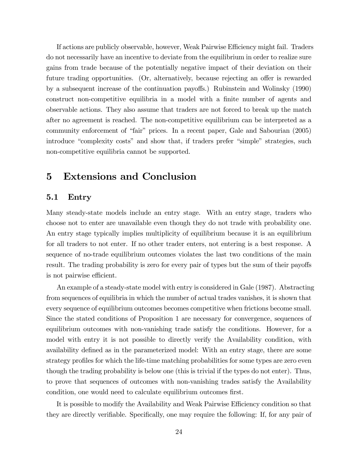If actions are publicly observable, however, Weak Pairwise Efficiency might fail. Traders do not necessarily have an incentive to deviate from the equilibrium in order to realize sure gains from trade because of the potentially negative impact of their deviation on their future trading opportunities. (Or, alternatively, because rejecting an offer is rewarded by a subsequent increase of the continuation payo§s.) Rubinstein and Wolinsky (1990) construct non-competitive equilibria in a model with a finite number of agents and observable actions. They also assume that traders are not forced to break up the match after no agreement is reached. The non-competitive equilibrium can be interpreted as a community enforcement of "fair" prices. In a recent paper, Gale and Sabourian (2005) introduce "complexity costs" and show that, if traders prefer "simple" strategies, such non-competitive equilibria cannot be supported.

## 5 Extensions and Conclusion

#### 5.1 Entry

Many steady-state models include an entry stage. With an entry stage, traders who choose not to enter are unavailable even though they do not trade with probability one. An entry stage typically implies multiplicity of equilibrium because it is an equilibrium for all traders to not enter. If no other trader enters, not entering is a best response. A sequence of no-trade equilibrium outcomes violates the last two conditions of the main result. The trading probability is zero for every pair of types but the sum of their payoffs is not pairwise efficient.

An example of a steady-state model with entry is considered in Gale (1987). Abstracting from sequences of equilibria in which the number of actual trades vanishes, it is shown that every sequence of equilibrium outcomes becomes competitive when frictions become small. Since the stated conditions of Proposition 1 are necessary for convergence, sequences of equilibrium outcomes with non-vanishing trade satisfy the conditions. However, for a model with entry it is not possible to directly verify the Availability condition, with availability defined as in the parameterized model: With an entry stage, there are some strategy profiles for which the life-time matching probabilities for some types are zero even though the trading probability is below one (this is trivial if the types do not enter). Thus, to prove that sequences of outcomes with non-vanishing trades satisfy the Availability condition, one would need to calculate equilibrium outcomes first.

It is possible to modify the Availability and Weak Pairwise Efficiency condition so that they are directly verifiable. Specifically, one may require the following: If, for any pair of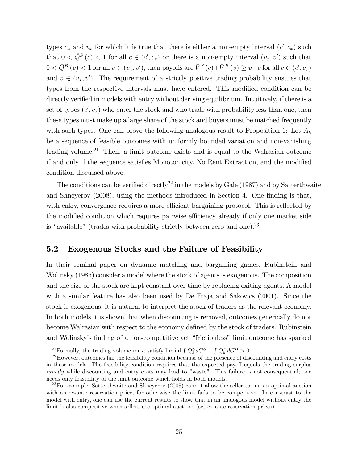types  $c_x$  and  $v_x$  for which it is true that there is either a non-empty interval  $(c', c_x)$  such that  $0 < \bar{Q}^S(c) < 1$  for all  $c \in (c', c_x)$  or there is a non-empty interval  $(v_x, v')$  such that  $0 < \bar{Q}^B(v) < 1$  for all  $v \in (v_x, v')$ , then payoffs are  $\bar{V}^S(c) + \bar{V}^B(v) \ge v - c$  for all  $c \in (c', c_x)$ and  $v \in (v_x, v')$ . The requirement of a strictly positive trading probability ensures that types from the respective intervals must have entered. This modified condition can be directly verified in models with entry without deriving equilibrium. Intuitively, if there is a set of types  $(c', c_x)$  who enter the stock and who trade with probability less than one, then these types must make up a large share of the stock and buyers must be matched frequently with such types. One can prove the following analogous result to Proposition 1: Let  $A_k$ be a sequence of feasible outcomes with uniformly bounded variation and non-vanishing trading volume.<sup>21</sup> Then, a limit outcome exists and is equal to the Walrasian outcome if and only if the sequence satisfies Monotonicity, No Rent Extraction, and the modified condition discussed above.

The conditions can be verified directly<sup>22</sup> in the models by Gale  $(1987)$  and by Satterthwaite and Shneyerov (2008), using the methods introduced in Section 4. One finding is that, with entry, convergence requires a more efficient bargaining protocol. This is reflected by the modified condition which requires pairwise efficiency already if only one market side is "available" (trades with probability strictly between zero and one). $^{23}$ 

### 5.2 Exogenous Stocks and the Failure of Feasibility

In their seminal paper on dynamic matching and bargaining games, Rubinstein and Wolinsky (1985) consider a model where the stock of agents is exogenous. The composition and the size of the stock are kept constant over time by replacing exiting agents. A model with a similar feature has also been used by De Fraja and Sakovics (2001). Since the stock is exogenous, it is natural to interpret the stock of traders as the relevant economy. In both models it is shown that when discounting is removed, outcomes generically do not become Walrasian with respect to the economy defined by the stock of traders. Rubinstein and Wolinsky's finding of a non-competitive yet "frictionless" limit outcome has sparked

<sup>&</sup>lt;sup>21</sup> Formally, the trading volume must satisfy lim inf  $\int Q_k^S dG^S + \int Q_k^B dG^B > 0$ .

<sup>&</sup>lt;sup>22</sup>However, outcomes fail the feasibility condition because of the presence of discounting and entry costs in these models. The feasibility condition requires that the expected payoff equals the trading surplus exactly while discounting and entry costs may lead to "waste". This failure is not consequential; one needs only feasibility of the limit outcome which holds in both models.

<sup>&</sup>lt;sup>23</sup>For example, Satterthwaite and Shneyerov (2008) cannot allow the seller to run an optimal auction with an ex-ante reservation price, for otherwise the limit fails to be competitive. In constrast to the model with entry, one can use the current results to show that in an analogous model without entry the limit is also competitive when sellers use optimal auctions (set ex-ante reservation prices).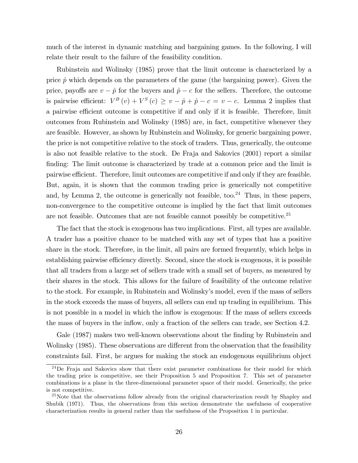much of the interest in dynamic matching and bargaining games. In the following, I will relate their result to the failure of the feasibility condition.

Rubinstein and Wolinsky (1985) prove that the limit outcome is characterized by a price  $\hat{p}$  which depends on the parameters of the game (the bargaining power). Given the price, payoffs are  $v - \hat{p}$  for the buyers and  $\hat{p} - c$  for the sellers. Therefore, the outcome is pairwise efficient:  $V^B(v) + V^S(c) \ge v - \hat{p} + \hat{p} - c = v - c$ . Lemma 2 implies that a pairwise efficient outcome is competitive if and only if it is feasible. Therefore, limit outcomes from Rubinstein and Wolinsky (1985) are, in fact, competitive whenever they are feasible. However, as shown by Rubinstein and Wolinsky, for generic bargaining power, the price is not competitive relative to the stock of traders. Thus, generically, the outcome is also not feasible relative to the stock. De Fraja and Sakovics (2001) report a similar finding: The limit outcome is characterized by trade at a common price and the limit is pairwise efficient. Therefore, limit outcomes are competitive if and only if they are feasible. But, again, it is shown that the common trading price is generically not competitive and, by Lemma 2, the outcome is generically not feasible, too. <sup>24</sup> Thus, in these papers, non-convergence to the competitive outcome is implied by the fact that limit outcomes are not feasible. Outcomes that are not feasible cannot possibly be competitive.<sup>25</sup>

The fact that the stock is exogenous has two implications. First, all types are available. A trader has a positive chance to be matched with any set of types that has a positive share in the stock. Therefore, in the limit, all pairs are formed frequently, which helps in establishing pairwise efficiency directly. Second, since the stock is exogenous, it is possible that all traders from a large set of sellers trade with a small set of buyers, as measured by their shares in the stock. This allows for the failure of feasibility of the outcome relative to the stock. For example, in Rubinstein and Wolinskyís model, even if the mass of sellers in the stock exceeds the mass of buyers, all sellers can end up trading in equilibrium. This is not possible in a model in which the inflow is exogenous: If the mass of sellers exceeds the mass of buyers in the inflow, only a fraction of the sellers can trade, see Section 4.2.

Gale (1987) makes two well-known observations about the finding by Rubinstein and Wolinsky (1985). These observations are different from the observation that the feasibility constraints fail. First, he argues for making the stock an endogenous equilibrium object

<sup>&</sup>lt;sup>24</sup>De Fraja and Sakovics show that there exist parameter combinations for their model for which the trading price is competitive, see their Proposition 5 and Proposition 7. This set of parameter combinations is a plane in the three-dimensional parameter space of their model. Generically, the price is not competitive.

<sup>&</sup>lt;sup>25</sup>Note that the observations follow already from the original characterization result by Shapley and Shubik (1971). Thus, the observations from this section demonstrate the usefulness of cooperative characterization results in general rather than the usefulness of the Proposition 1 in particular.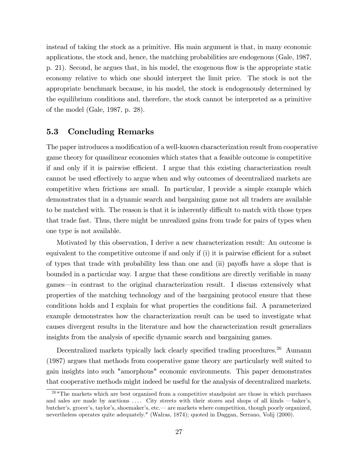instead of taking the stock as a primitive. His main argument is that, in many economic applications, the stock and, hence, the matching probabilities are endogenous (Gale, 1987, p. 21). Second, he argues that, in his model, the exogenous áow is the appropriate static economy relative to which one should interpret the limit price. The stock is not the appropriate benchmark because, in his model, the stock is endogenously determined by the equilibrium conditions and, therefore, the stock cannot be interpreted as a primitive of the model (Gale, 1987, p. 28).

#### 5.3 Concluding Remarks

The paper introduces a modification of a well-known characterization result from cooperative game theory for quasilinear economies which states that a feasible outcome is competitive if and only if it is pairwise efficient. I argue that this existing characterization result cannot be used effectively to argue when and why outcomes of decentralized markets are competitive when frictions are small. In particular, I provide a simple example which demonstrates that in a dynamic search and bargaining game not all traders are available to be matched with. The reason is that it is inherently difficult to match with those types that trade fast. Thus, there might be unrealized gains from trade for pairs of types when one type is not available.

Motivated by this observation, I derive a new characterization result: An outcome is equivalent to the competitive outcome if and only if  $(i)$  it is pairwise efficient for a subset of types that trade with probability less than one and  $(ii)$  payoffs have a slope that is bounded in a particular way. I argue that these conditions are directly verifiable in many games—in contrast to the original characterization result. I discuss extensively what properties of the matching technology and of the bargaining protocol ensure that these conditions holds and I explain for what properties the conditions fail. A parameterized example demonstrates how the characterization result can be used to investigate what causes divergent results in the literature and how the characterization result generalizes insights from the analysis of specific dynamic search and bargaining games.

Decentralized markets typically lack clearly specified trading procedures.<sup>26</sup> Aumann (1987) argues that methods from cooperative game theory are particularly well suited to gain insights into such "amorphous" economic environments. This paper demonstrates that cooperative methods might indeed be useful for the analysis of decentralized markets.

<sup>&</sup>lt;sup>26</sup> "The markets which are best organized from a competitive standpoint are those in which purchases and sales are made by auctions .... City streets with their stores and shops of all kinds —baker's, butcher's, grocer's, taylor's, shoemaker's, etc.— are markets where competition, though poorly organized, nevertheless operates quite adequately." (Walras, 1874); quoted in Daggan, Serrano, Volij (2000).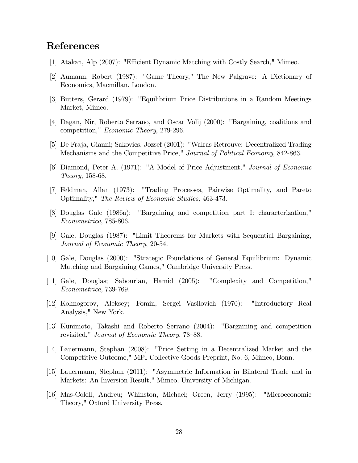## References

- [1] Atakan, Alp (2007): "Efficient Dynamic Matching with Costly Search," Mimeo.
- [2] Aumann, Robert (1987): "Game Theory," The New Palgrave: A Dictionary of Economics, Macmillan, London.
- [3] Butters, Gerard (1979): "Equilibrium Price Distributions in a Random Meetings Market, Mimeo.
- [4] Dagan, Nir, Roberto Serrano, and Oscar Volij (2000): "Bargaining, coalitions and competition," Economic Theory, 279-296.
- [5] De Fraja, Gianni; Sakovics, Jozsef (2001): "Walras Retrouve: Decentralized Trading Mechanisms and the Competitive Price," Journal of Political Economy, 842-863.
- [6] Diamond, Peter A. (1971): "A Model of Price Adjustment," Journal of Economic Theory, 158-68.
- [7] Feldman, Allan (1973): "Trading Processes, Pairwise Optimality, and Pareto Optimality," The Review of Economic Studies, 463-473.
- [8] Douglas Gale (1986a): "Bargaining and competition part I: characterization," Econometrica, 785-806.
- [9] Gale, Douglas (1987): "Limit Theorems for Markets with Sequential Bargaining, Journal of Economic Theory, 20-54.
- [10] Gale, Douglas (2000): "Strategic Foundations of General Equilibrium: Dynamic Matching and Bargaining Games," Cambridge University Press.
- [11] Gale, Douglas; Sabourian, Hamid (2005): "Complexity and Competition," Econometrica, 739-769.
- [12] Kolmogorov, Aleksey; Fomin, Sergei Vasilovich (1970): "Introductory Real Analysis," New York.
- [13] Kunimoto, Takashi and Roberto Serrano (2004): "Bargaining and competition revisited," Journal of Economic Theory, 78–88.
- [14] Lauermann, Stephan (2008): "Price Setting in a Decentralized Market and the Competitive Outcome," MPI Collective Goods Preprint, No. 6, Mimeo, Bonn.
- [15] Lauermann, Stephan (2011): "Asymmetric Information in Bilateral Trade and in Markets: An Inversion Result," Mimeo, University of Michigan.
- [16] Mas-Colell, Andreu; Whinston, Michael; Green, Jerry (1995): "Microeconomic Theory," Oxford University Press.